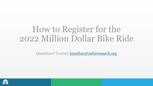# How to Register for the 2022 Million Dollar Bike Ride

Questions? Contact [jonathan@nehiresearch.org](mailto:jonathan@nehiresearch.org)

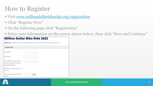- Visit [www.milliondollarbikeride.org/registration](http://www.milliondollarbikeride.org/registration)
- Click "Register Now"
- On the following page click "Registration"
- Enter your information on the screen shown below, then click "Save and Continue"

|                                                                                       | <b>Million Dollar Bike Ride 2022</b>                                                                        |
|---------------------------------------------------------------------------------------|-------------------------------------------------------------------------------------------------------------|
|                                                                                       | <b>Registrant</b> » Registration Type » Event Information » Cyclist Information » Billing » Review » Finish |
| <b>Registrant</b>                                                                     |                                                                                                             |
| First Name *                                                                          |                                                                                                             |
| Last Name *                                                                           |                                                                                                             |
| Email Address (unique email<br>address may only be used one<br>time per registrant) * |                                                                                                             |
| Please do not show name on the $\Box$<br>rider list                                   |                                                                                                             |
| If you have a promo code, enter<br>it here:                                           | Apply                                                                                                       |

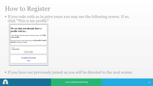▪ If you rode with us in prior years you may see the following screen. If so, click "This is my profile"

| We see that you already have a<br>profile with us                                    |
|--------------------------------------------------------------------------------------|
|                                                                                      |
| Look at the list of possible matches to find your name. Click This<br>is my profile. |
| $ $ If you don't see your name listed here, select $My$ profile is not in            |
| this list to continue as a guest.                                                    |
|                                                                                      |
| Name<br>Jonathan Bush                                                                |
| This is my profile                                                                   |
|                                                                                      |
| My profile is not in this list                                                       |
| Cancel                                                                               |
|                                                                                      |

▪ If you have not previously joined us you will be directed to the next screen

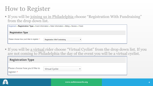**If you will be joining us in Philadelphia choose "Registration With Fundraising"** from the drop down list.

|                                             | Registrant » Registration Type » Event Information » Rider Information » Billing » Review » Finish |
|---------------------------------------------|----------------------------------------------------------------------------------------------------|
| <b>Registration Type</b>                    |                                                                                                    |
| Please choose how you'd like to register: * | <b>Registration With Fundraising</b>                                                               |

**If you will be a virtual rider choose "Virtual Cyclist" from the drop down list. If you** are not coming to Philadelphia the day of the event you will be a virtual cyclist.

| <b>Registration Type</b>                       |                        |              |  |
|------------------------------------------------|------------------------|--------------|--|
| Please choose how you'd like to<br>register: * | <b>Virtual Cyclist</b> | $\checkmark$ |  |

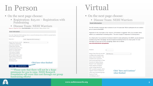# In Person

- On the next page choose:
	- Registration: \$25.00 Registration with Fundraising
	- **Explisitrant » Registration Type » Event Information » Rider Information » Billing » Review » Finish**

#### **Event Information**

Registration:

If you select "Registration With Fundraising", there is a required fundraising minimum of \$250. It is expected that the minimum will be met by June 12, 2021.

| Registration: *                      | \$25.00 - Registration With Fundraising $\sim$ |
|--------------------------------------|------------------------------------------------|
|                                      |                                                |
| Disease Team (If you do not wish     | <b>NEHI Warriors</b>                           |
| to affiliate with a specific team,   |                                                |
| please choose "JumpStart". The       |                                                |
| JumpStart team represents            |                                                |
| teams previously known as "Penn      |                                                |
| <b>Scientists for Orphan Disease</b> |                                                |
| Research and "Independent."          |                                                |
| Funds raised by "JumpStart           |                                                |
| cyclists" will go towards the        |                                                |
| ODC's JumpStart program, which       |                                                |
| supports research initiatives for    |                                                |
| under-resourced disease groups.      |                                                |
| <b>Ouestions? Email</b>              |                                                |
| scharle@upenn.edu *                  |                                                |
|                                      |                                                |

Click here when finished

**Save and Continue Back** 

\*\*\*Please note that there will not be a \$250 minimum for you to raise. NEHI Research Foundation will cover this cost through our group fundraising efforts!

# Virtual

#### ■ On the next page choose:

▪ Disease Team: NEHI Warriors

**Event Information** 

The ODC will hold a virtual spin class in advance of June 11th (exact date TBD) for participants who are unable to join us in-person at the MDBR.

Registration for this virtual option is free. However, a \$10 donation is suggested. 100% of your donation will be added to your selected team's fundraising efforts. \*This does not apply to Independent Fundraising teams.

As a virtual cyclist, If you would like to fundraise on behalf of a team participating in the MDBR, you are welcome to fundraise using a Penn GivingPage. We will not require a fundraising minimum for virtual cyclists. For more information on how to set up a Penn GivingPage, please visit our website www.milliondollarbikeride.org/registration

| Donation:                            | \$                   |                           |
|--------------------------------------|----------------------|---------------------------|
| Disease Team (If you do not wish     | <b>NEHI Warriors</b> | $\checkmark$              |
| to affiliate with a specific team,   |                      |                           |
| please choose "JumpStart". The       |                      |                           |
| JumpStart team represents            |                      |                           |
| teams previously known as "Penn      |                      |                           |
| <b>Scientists for Orphan Disease</b> |                      |                           |
| Research" and "Independent."         |                      |                           |
| Funds raised by "JumpStart           |                      |                           |
| cyclists" will go towards the        |                      |                           |
| ODC's JumpStart program, which       |                      |                           |
| supports research initiatives for    |                      | Click "Save and Continue" |
| under-resourced disease groups.      |                      | when finished             |
| <b>Questions?</b> Email              |                      |                           |
| scharle@upenn.edu)*                  |                      |                           |

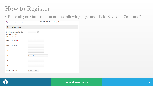#### ▪ Enter all your information on the following page and click "Save and Continue"

Registrant » Registration Type » Event Information » Rider Information » Billing » Review » Finish

| <b>Rider Information</b>                                                |                 |              |
|-------------------------------------------------------------------------|-----------------|--------------|
| Birthdate (you must be 16 or<br>older to participate)<br>(MM/DD/YYYY) * | 囲               |              |
| Mailing Address 1: *                                                    |                 |              |
| <b>Mailing Address 2:</b>                                               |                 |              |
| City: *                                                                 |                 |              |
| State: *                                                                | Please Choose   | $\checkmark$ |
| Zip: *                                                                  |                 |              |
| Phone: *                                                                |                 |              |
| Unisex T-Shirt Size: *                                                  | Please Choose Y |              |